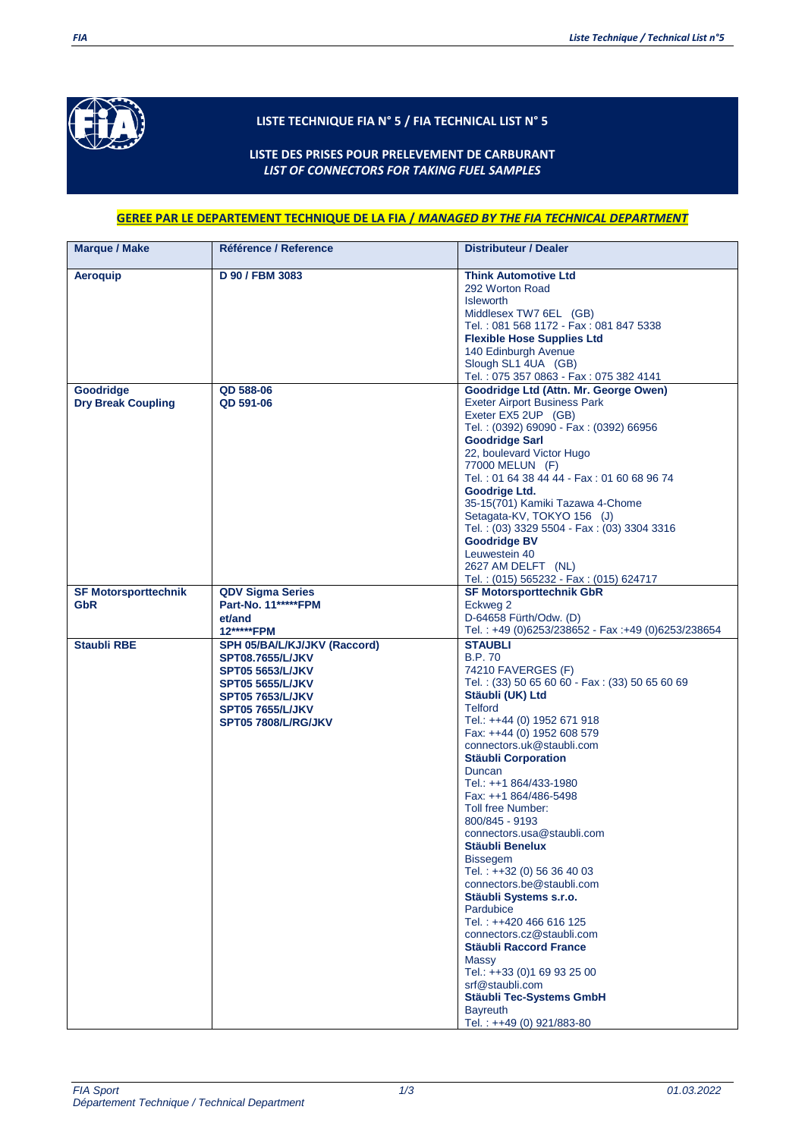

## **LISTE TECHNIQUE FIA N° 5 / FIA TECHNICAL LIST N° 5**

**LISTE DES PRISES POUR PRELEVEMENT DE CARBURANT** *LIST OF CONNECTORS FOR TAKING FUEL SAMPLES*

## **GEREE PAR LE DEPARTEMENT TECHNIQUE DE LA FIA /** *MANAGED BY THE FIA TECHNICAL DEPARTMENT*

| <b>Marque / Make</b>                      | Référence / Reference                                                                                                                                                                             | <b>Distributeur / Dealer</b>                                                                                                                                                                                                                                                                                                                                                                                                                                                                                                                                                                                                                                                                                                                                                    |
|-------------------------------------------|---------------------------------------------------------------------------------------------------------------------------------------------------------------------------------------------------|---------------------------------------------------------------------------------------------------------------------------------------------------------------------------------------------------------------------------------------------------------------------------------------------------------------------------------------------------------------------------------------------------------------------------------------------------------------------------------------------------------------------------------------------------------------------------------------------------------------------------------------------------------------------------------------------------------------------------------------------------------------------------------|
| Aeroquip                                  | D 90 / FBM 3083                                                                                                                                                                                   | <b>Think Automotive Ltd</b><br>292 Worton Road<br><b>Isleworth</b><br>Middlesex TW7 6EL (GB)<br>Tel.: 081 568 1172 - Fax: 081 847 5338<br><b>Flexible Hose Supplies Ltd</b><br>140 Edinburgh Avenue<br>Slough SL1 4UA (GB)<br>Tel.: 075 357 0863 - Fax: 075 382 4141                                                                                                                                                                                                                                                                                                                                                                                                                                                                                                            |
| Goodridge<br><b>Dry Break Coupling</b>    | <b>QD 588-06</b><br><b>QD 591-06</b>                                                                                                                                                              | Goodridge Ltd (Attn. Mr. George Owen)<br><b>Exeter Airport Business Park</b><br>Exeter EX5 2UP (GB)<br>Tel.: (0392) 69090 - Fax: (0392) 66956<br><b>Goodridge Sarl</b><br>22, boulevard Victor Hugo<br>77000 MELUN (F)<br>Tel.: 01 64 38 44 44 - Fax: 01 60 68 96 74<br>Goodrige Ltd.<br>35-15(701) Kamiki Tazawa 4-Chome<br>Setagata-KV, TOKYO 156 (J)<br>Tel.: (03) 3329 5504 - Fax: (03) 3304 3316<br><b>Goodridge BV</b><br>Leuwestein 40<br>2627 AM DELFT (NL)<br>Tel.: (015) 565232 - Fax: (015) 624717                                                                                                                                                                                                                                                                   |
| <b>SF Motorsporttechnik</b><br><b>GbR</b> | <b>QDV Sigma Series</b><br><b>Part-No. 11******FPM</b><br>et/and<br>12*****FPM                                                                                                                    | <b>SF Motorsporttechnik GbR</b><br>Eckweg 2<br>D-64658 Fürth/Odw. (D)<br>Tel.: +49 (0)6253/238652 - Fax: +49 (0)6253/238654                                                                                                                                                                                                                                                                                                                                                                                                                                                                                                                                                                                                                                                     |
| <b>Staubli RBE</b>                        | SPH 05/BA/L/KJ/JKV (Raccord)<br><b>SPT08.7655/L/JKV</b><br><b>SPT05 5653/L/JKV</b><br><b>SPT05 5655/L/JKV</b><br><b>SPT05 7653/L/JKV</b><br><b>SPT05 7655/L/JKV</b><br><b>SPT05 7808/L/RG/JKV</b> | <b>STAUBLI</b><br><b>B.P.70</b><br>74210 FAVERGES (F)<br>Tel.: (33) 50 65 60 60 - Fax: (33) 50 65 60 69<br>Stäubli (UK) Ltd<br><b>Telford</b><br>Tel.: ++44 (0) 1952 671 918<br>Fax: ++44 (0) 1952 608 579<br>connectors.uk@staubli.com<br><b>Stäubli Corporation</b><br>Duncan<br>Tel.: ++1 864/433-1980<br>Fax: ++1 864/486-5498<br>Toll free Number:<br>800/845 - 9193<br>connectors.usa@staubli.com<br>Stäubli Benelux<br><b>Bissegem</b><br>Tel.: ++32 (0) 56 36 40 03<br>connectors.be@staubli.com<br>Stäubli Systems s.r.o.<br>Pardubice<br>Tel.: ++420 466 616 125<br>connectors.cz@staubli.com<br><b>Stäubli Raccord France</b><br>Massy<br>Tel.: ++33 (0)1 69 93 25 00<br>srf@staubli.com<br>Stäubli Tec-Systems GmbH<br><b>Bayreuth</b><br>Tel.: ++49 (0) 921/883-80 |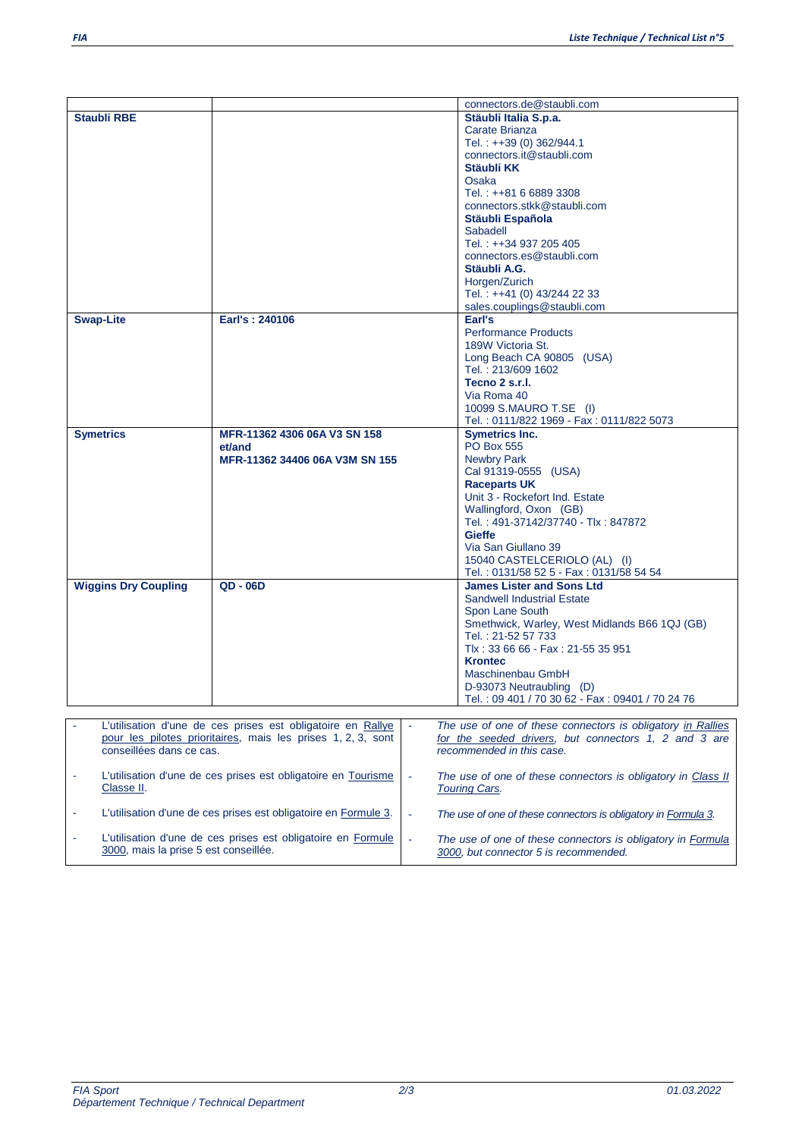| <b>Staubli RBE</b>                    |                                                                 |                          |                                                                                                      |
|---------------------------------------|-----------------------------------------------------------------|--------------------------|------------------------------------------------------------------------------------------------------|
|                                       |                                                                 |                          | connectors.de@staubli.com                                                                            |
|                                       |                                                                 |                          | Stäubli Italia S.p.a.                                                                                |
|                                       |                                                                 |                          | Carate Brianza                                                                                       |
|                                       |                                                                 |                          | Tel.: ++39 (0) 362/944.1                                                                             |
|                                       |                                                                 |                          | connectors.it@staubli.com                                                                            |
|                                       |                                                                 |                          | Stäubli KK                                                                                           |
|                                       |                                                                 |                          | Osaka                                                                                                |
|                                       |                                                                 |                          | Tel.: ++81 6 6889 3308                                                                               |
|                                       |                                                                 |                          |                                                                                                      |
|                                       |                                                                 |                          | connectors.stkk@staubli.com                                                                          |
|                                       |                                                                 |                          | Stäubli Española                                                                                     |
|                                       |                                                                 |                          | Sabadell                                                                                             |
|                                       |                                                                 |                          | Tel.: ++34 937 205 405                                                                               |
|                                       |                                                                 |                          | connectors.es@staubli.com                                                                            |
|                                       |                                                                 |                          | Stäubli A.G.                                                                                         |
|                                       |                                                                 |                          | Horgen/Zurich                                                                                        |
|                                       |                                                                 |                          | Tel.: ++41 (0) 43/244 22 33                                                                          |
|                                       |                                                                 |                          |                                                                                                      |
|                                       |                                                                 |                          | sales.couplings@staubli.com                                                                          |
| <b>Swap-Lite</b>                      | Earl's: 240106                                                  |                          | Earl's                                                                                               |
|                                       |                                                                 |                          | <b>Performance Products</b>                                                                          |
|                                       |                                                                 |                          | 189W Victoria St.                                                                                    |
|                                       |                                                                 |                          | Long Beach CA 90805 (USA)                                                                            |
|                                       |                                                                 |                          | Tel.: 213/609 1602                                                                                   |
|                                       |                                                                 |                          | Tecno 2 s.r.l.                                                                                       |
|                                       |                                                                 |                          | Via Roma 40                                                                                          |
|                                       |                                                                 |                          | 10099 S.MAURO T.SE (I)                                                                               |
|                                       |                                                                 |                          | Tel.: 0111/822 1969 - Fax: 0111/822 5073                                                             |
|                                       |                                                                 |                          |                                                                                                      |
| <b>Symetrics</b>                      | MFR-11362 4306 06A V3 SN 158                                    |                          | <b>Symetrics Inc.</b>                                                                                |
|                                       | et/and                                                          |                          | <b>PO Box 555</b>                                                                                    |
|                                       | MFR-11362 34406 06A V3M SN 155                                  |                          | <b>Newbry Park</b>                                                                                   |
|                                       |                                                                 |                          | Cal 91319-0555 (USA)                                                                                 |
|                                       |                                                                 |                          | <b>Raceparts UK</b>                                                                                  |
|                                       |                                                                 |                          | Unit 3 - Rockefort Ind. Estate                                                                       |
|                                       |                                                                 |                          | Wallingford, Oxon (GB)                                                                               |
|                                       |                                                                 |                          | Tel.: 491-37142/37740 - Tlx: 847872                                                                  |
|                                       |                                                                 |                          | <b>Gieffe</b>                                                                                        |
|                                       |                                                                 |                          |                                                                                                      |
|                                       |                                                                 |                          |                                                                                                      |
|                                       |                                                                 |                          | Via San Giullano 39                                                                                  |
|                                       |                                                                 |                          | 15040 CASTELCERIOLO (AL) (I)                                                                         |
|                                       |                                                                 |                          | Tel.: 0131/58 52 5 - Fax: 0131/58 54 54                                                              |
| <b>Wiggins Dry Coupling</b>           | $QD - O6D$                                                      |                          | <b>James Lister and Sons Ltd</b>                                                                     |
|                                       |                                                                 |                          | <b>Sandwell Industrial Estate</b>                                                                    |
|                                       |                                                                 |                          |                                                                                                      |
|                                       |                                                                 |                          | Spon Lane South                                                                                      |
|                                       |                                                                 |                          | Smethwick, Warley, West Midlands B66 1QJ (GB)                                                        |
|                                       |                                                                 |                          | Tel.: 21-52 57 733                                                                                   |
|                                       |                                                                 |                          | Tlx: 33 66 66 - Fax: 21-55 35 951                                                                    |
|                                       |                                                                 |                          | <b>Krontec</b>                                                                                       |
|                                       |                                                                 |                          | Maschinenbau GmbH                                                                                    |
|                                       |                                                                 |                          | D-93073 Neutraubling (D)                                                                             |
|                                       |                                                                 |                          | Tel.: 09 401 / 70 30 62 - Fax: 09401 / 70 24 76                                                      |
|                                       |                                                                 |                          |                                                                                                      |
|                                       | L'utilisation d'une de ces prises est obligatoire en Rallye     |                          | The use of one of these connectors is obligatory in Rallies                                          |
|                                       |                                                                 |                          |                                                                                                      |
| conseillées dans ce cas.              | pour les pilotes prioritaires, mais les prises 1, 2, 3, sont    |                          | for the seeded drivers, but connectors 1, 2 and 3 are<br>recommended in this case.                   |
|                                       |                                                                 |                          |                                                                                                      |
|                                       |                                                                 |                          |                                                                                                      |
|                                       | L'utilisation d'une de ces prises est obligatoire en Tourisme   | $\overline{\phantom{a}}$ | The use of one of these connectors is obligatory in Class II                                         |
| Classe II.                            |                                                                 |                          | <b>Touring Cars.</b>                                                                                 |
|                                       |                                                                 |                          |                                                                                                      |
|                                       | L'utilisation d'une de ces prises est obligatoire en Formule 3. | $\overline{\phantom{a}}$ | The use of one of these connectors is obligatory in Formula 3.                                       |
|                                       |                                                                 |                          |                                                                                                      |
| 3000, mais la prise 5 est conseillée. | L'utilisation d'une de ces prises est obligatoire en Formule    | $\Box$                   | The use of one of these connectors is obligatory in Formula<br>3000, but connector 5 is recommended. |